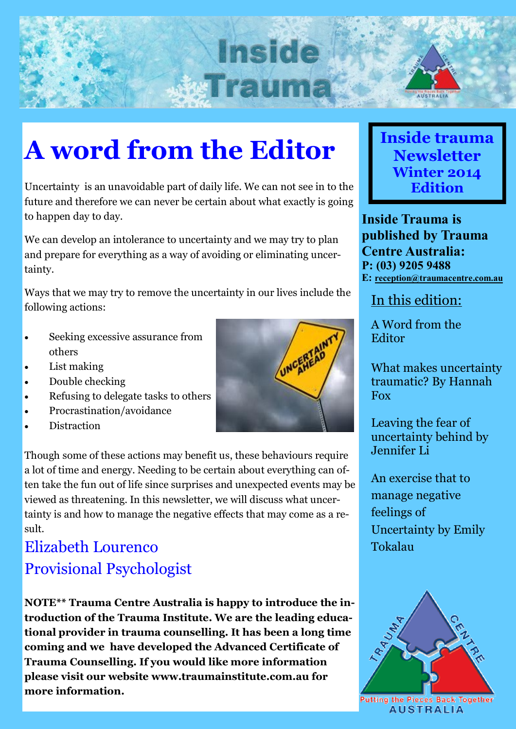# **Inside WITEIN**



### **A word from the Editor**

Uncertainty is an unavoidable part of daily life. We can not see in to the future and therefore we can never be certain about what exactly is going to happen day to day.

We can develop an intolerance to uncertainty and we may try to plan and prepare for everything as a way of avoiding or eliminating uncertainty.

Ways that we may try to remove the uncertainty in our lives include the following actions:

- Seeking excessive assurance from others
- List making
- Double checking
- Refusing to delegate tasks to others
- Procrastination/avoidance
- **Distraction**



### Elizabeth Lourenco Provisional Psychologist

**NOTE\*\* Trauma Centre Australia is happy to introduce the introduction of the Trauma Institute. We are the leading educational provider in trauma counselling. It has been a long time coming and we have developed the Advanced Certificate of Trauma Counselling. If you would like more information please visit our website www.traumainstitute.com.au for more information.**



**Inside Trauma is published by Trauma Centre Australia: P: (03) 9205 9488 E: [reception@traumacentre.com.au](mailto:reception@traumacentre.com.au)**

In this edition:

A Word from the Editor

What makes uncertainty traumatic? By Hannah Fox

Leaving the fear of uncertainty behind by Jennifer Li

An exercise that to manage negative feelings of Uncertainty by Emily Tokalau



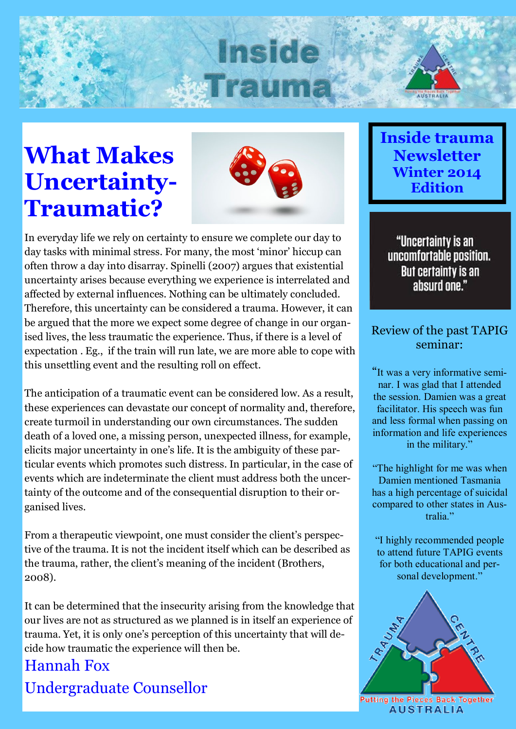## **Inside WITCH**

### **What Makes Uncertainty-Traumatic?**



In everyday life we rely on certainty to ensure we complete our day to day tasks with minimal stress. For many, the most 'minor' hiccup can often throw a day into disarray. Spinelli (2007) argues that existential uncertainty arises because everything we experience is interrelated and affected by external influences. Nothing can be ultimately concluded. Therefore, this uncertainty can be considered a trauma. However, it can be argued that the more we expect some degree of change in our organised lives, the less traumatic the experience. Thus, if there is a level of expectation . Eg., if the train will run late, we are more able to cope with this unsettling event and the resulting roll on effect.

The anticipation of a traumatic event can be considered low. As a result, these experiences can devastate our concept of normality and, therefore, create turmoil in understanding our own circumstances. The sudden death of a loved one, a missing person, unexpected illness, for example, elicits major uncertainty in one's life. It is the ambiguity of these particular events which promotes such distress. In particular, in the case of events which are indeterminate the client must address both the uncertainty of the outcome and of the consequential disruption to their organised lives.

From a therapeutic viewpoint, one must consider the client's perspective of the trauma. It is not the incident itself which can be described as the trauma, rather, the client's meaning of the incident (Brothers, 2008).

It can be determined that the insecurity arising from the knowledge that our lives are not as structured as we planned is in itself an experience of trauma. Yet, it is only one's perception of this uncertainty that will decide how traumatic the experience will then be.

### Hannah Fox Undergraduate Counsellor

### **Inside trauma Newsletter Winter 2014 Edition**

"Uncertainty is an uncomfortable position. **But certainty is an** absurd one."

#### Review of the past TAPIG seminar:

"It was a very informative seminar. I was glad that I attended the session. Damien was a great facilitator. His speech was fun and less formal when passing on information and life experiences in the military."

"The highlight for me was when Damien mentioned Tasmania has a high percentage of suicidal compared to other states in Australia."

"I highly recommended people to attend future TAPIG events for both educational and personal development."

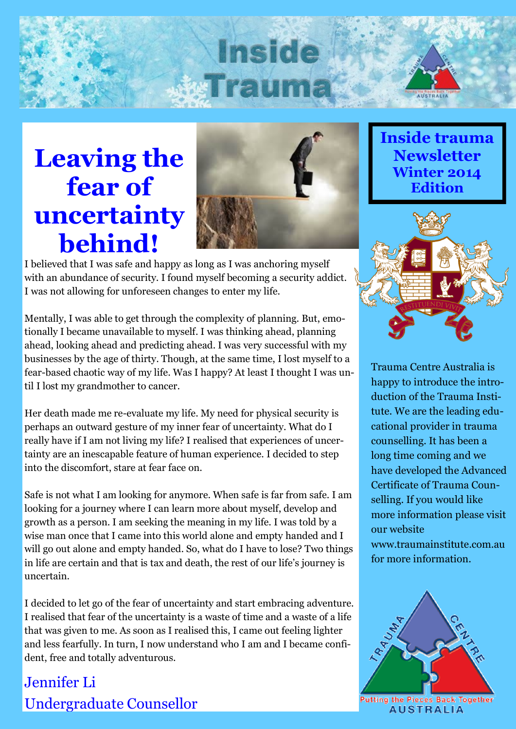### **Inside WIREIT**

### **Leaving the fear of uncertainty behind!**



I believed that I was safe and happy as long as I was anchoring myself with an abundance of security. I found myself becoming a security addict. I was not allowing for unforeseen changes to enter my life.

Mentally, I was able to get through the complexity of planning. But, emotionally I became unavailable to myself. I was thinking ahead, planning ahead, looking ahead and predicting ahead. I was very successful with my businesses by the age of thirty. Though, at the same time, I lost myself to a fear-based chaotic way of my life. Was I happy? At least I thought I was until I lost my grandmother to cancer.

Her death made me re-evaluate my life. My need for physical security is perhaps an outward gesture of my inner fear of uncertainty. What do I really have if I am not living my life? I realised that experiences of uncertainty are an inescapable feature of human experience. I decided to step into the discomfort, stare at fear face on.

Safe is not what I am looking for anymore. When safe is far from safe. I am looking for a journey where I can learn more about myself, develop and growth as a person. I am seeking the meaning in my life. I was told by a wise man once that I came into this world alone and empty handed and I will go out alone and empty handed. So, what do I have to lose? Two things in life are certain and that is tax and death, the rest of our life's journey is uncertain.

I decided to let go of the fear of uncertainty and start embracing adventure. I realised that fear of the uncertainty is a waste of time and a waste of a life that was given to me. As soon as I realised this, I came out feeling lighter and less fearfully. In turn, I now understand who I am and I became confident, free and totally adventurous.

### Jennifer Li Undergraduate Counsellor

**Inside trauma Newsletter Winter 2014 Edition**



Trauma Centre Australia is happy to introduce the introduction of the Trauma Institute. We are the leading educational provider in trauma counselling. It has been a long time coming and we have developed the Advanced Certificate of Trauma Counselling. If you would like more information please visit our website www.traumainstitute.com.au for more information.